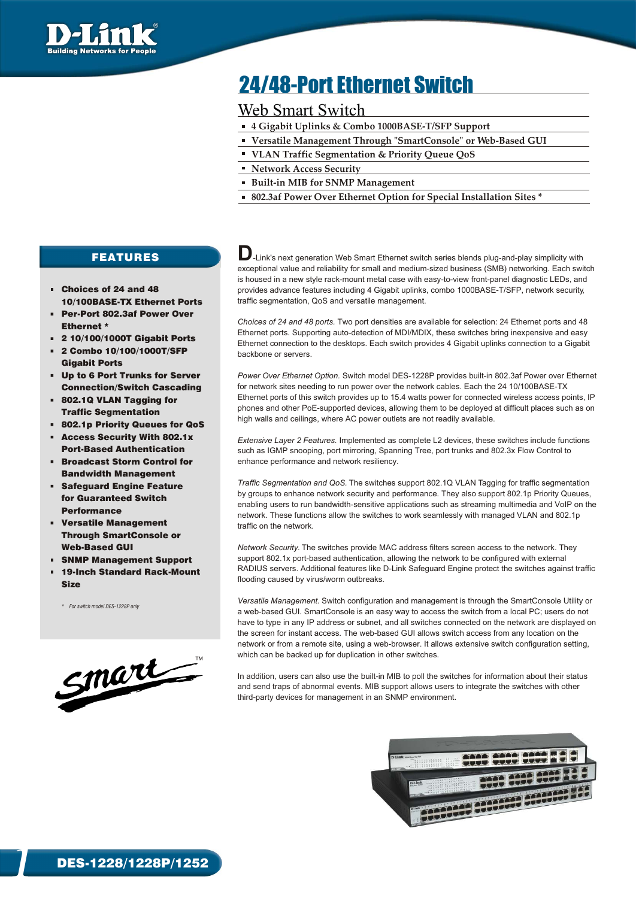

# 24/48-Port Ethernet Switch

## Web Smart Switch

- **4 Gigabit Uplinks & Combo 1000BASE-T/SFP Support**
- **Versatile Management Through "SmartConsole" or Web-Based GUI**
- **VLAN Traffic Segmentation & Priority Queue QoS**
- **Network Access Security**
- **Built-in MIB for SNMP Management**
- **802.3af Power Over Ethernet Option for Special Installation Sites \***

## FEATURES

- Choices of 24 and 48 10/100BASE-TX Ethernet Ports
- Per-Port 802.3af Power Over Ethernet \*
- 2 10/100/1000T Gigabit Ports
- 2 Combo 10/100/1000T/SFP Gigabit Ports
- Up to 6 Port Trunks for Server Connection/Switch Cascading
- 802.1Q VLAN Tagging for Traffic Segmentation
- 802.1p Priority Queues for QoS
- Access Security With 802.1x Port-Based Authentication
- Broadcast Storm Control for Bandwidth Management
- Safeguard Engine Feature for Guaranteed Switch **Performance**
- Versatile Management Through SmartConsole or Web-Based GUI
- SNMP Management Support
- 19-Inch Standard Rack-Mount Size

*\* For switch model DES-1228P only*



 $\Box$ -Link's next generation Web Smart Ethernet switch series blends plug-and-play simplicity with exceptional value and reliability for small and medium-sized business (SMB) networking. Each switch is housed in a new style rack-mount metal case with easy-to-view front-panel diagnostic LEDs, and provides advance features including 4 Gigabit uplinks, combo 1000BASE-T/SFP, network security, traffic segmentation, QoS and versatile management.

*Choices of 24 and 48 ports.* Two port densities are available for selection: 24 Ethernet ports and 48 Ethernet ports. Supporting auto-detection of MDI/MDIX, these switches bring inexpensive and easy Ethernet connection to the desktops. Each switch provides 4 Gigabit uplinks connection to a Gigabit backbone or servers.

*Power Over Ethernet Option.* Switch model DES-1228P provides built-in 802.3af Power over Ethernet for network sites needing to run power over the network cables. Each the 24 10/100BASE-TX Ethernet ports of this switch provides up to 15.4 watts power for connected wireless access points, IP phones and other PoE-supported devices, allowing them to be deployed at difficult places such as on high walls and ceilings, where AC power outlets are not readily available.

*Extensive Layer 2 Features.* Implemented as complete L2 devices, these switches include functions such as IGMP snooping, port mirroring, Spanning Tree, port trunks and 802.3x Flow Control to enhance performance and network resiliency.

*Traffic Segmentation and QoS.* The switches support 802.1Q VLAN Tagging for traffic segmentation by groups to enhance network security and performance. They also support 802.1p Priority Queues, enabling users to run bandwidth-sensitive applications such as streaming multimedia and VoIP on the network. These functions allow the switches to work seamlessly with managed VLAN and 802.1p traffic on the network.

*Network Security.* The switches provide MAC address filters screen access to the network. They support 802.1x port-based authentication, allowing the network to be configured with external RADIUS servers. Additional features like D-Link Safeguard Engine protect the switches against traffic flooding caused by virus/worm outbreaks.

*Versatile Management.* Switch configuration and management is through the SmartConsole Utility or a web-based GUI. SmartConsole is an easy way to access the switch from a local PC; users do not have to type in any IP address or subnet, and all switches connected on the network are displayed on the screen for instant access. The web-based GUI allows switch access from any location on the network or from a remote site, using a web-browser. It allows extensive switch configuration setting, which can be backed up for duplication in other switches.

In addition, users can also use the built-in MIB to poll the switches for information about their status and send traps of abnormal events. MIB support allows users to integrate the switches with other third-party devices for management in an SNMP environment.



1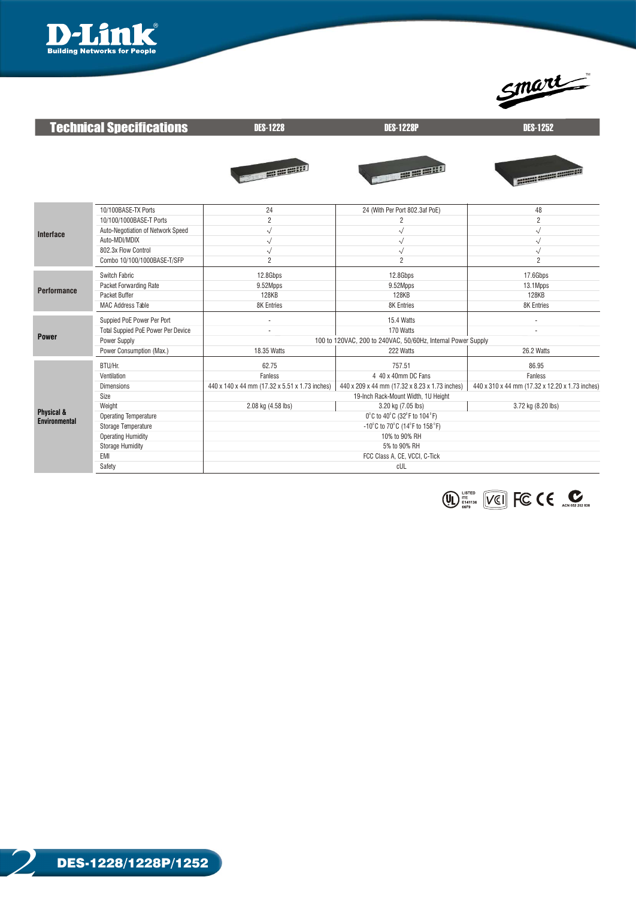



| <b>Technical Specifications</b> |                                    | <b>DES-1228</b>                                              | <b>DES-1228P</b>                               | <b>DES-1252</b>                                 |  |  |  |
|---------------------------------|------------------------------------|--------------------------------------------------------------|------------------------------------------------|-------------------------------------------------|--|--|--|
|                                 |                                    | <b>Report Follows</b>                                        | <b>AND REAL PROPERTY</b>                       |                                                 |  |  |  |
| <b>Interface</b>                | 10/100BASE-TX Ports                | 24                                                           | 24 (With Per Port 802.3af PoE)                 | 48                                              |  |  |  |
|                                 | 10/100/1000BASE-T Ports            | $\overline{c}$                                               | $\overline{c}$                                 | $\overline{2}$                                  |  |  |  |
|                                 | Auto-Negotiation of Network Speed  | $\sqrt{}$                                                    | $\sqrt{}$                                      | $\sqrt{}$                                       |  |  |  |
|                                 | Auto-MDI/MDIX                      | √                                                            | $\sqrt{}$                                      | $\sqrt{}$                                       |  |  |  |
|                                 | 802.3x Flow Control                | $\sqrt{}$                                                    | $\sqrt{}$                                      | $\sqrt{}$                                       |  |  |  |
|                                 | Combo 10/100/1000BASE-T/SFP        | $\overline{2}$                                               | $\overline{2}$                                 | $\overline{2}$                                  |  |  |  |
|                                 | Switch Fabric                      | 12.8Gbps                                                     | 12.8Gbps                                       | 17.6Gbps                                        |  |  |  |
|                                 | Packet Forwarding Rate             | 9.52Mpps                                                     | 9.52Mpps                                       | 13.1Mpps                                        |  |  |  |
| <b>Performance</b>              | Packet Buffer                      | 128KB                                                        | <b>128KB</b>                                   | <b>128KB</b>                                    |  |  |  |
|                                 | <b>MAC Address Table</b>           | <b>8K Entries</b>                                            | <b>8K Entries</b>                              | 8K Entries                                      |  |  |  |
|                                 | Suppied PoE Power Per Port         | $\overline{\phantom{m}}$                                     | 15.4 Watts                                     | ٠                                               |  |  |  |
|                                 | Total Suppied PoE Power Per Device |                                                              | 170 Watts                                      |                                                 |  |  |  |
| <b>Power</b>                    | Power Supply                       | 100 to 120VAC, 200 to 240VAC, 50/60Hz, Internal Power Supply |                                                |                                                 |  |  |  |
|                                 | Power Consumption (Max.)           | 18.35 Watts                                                  | 222 Watts                                      | 26.2 Watts                                      |  |  |  |
|                                 | BTU/Hr.                            | 62.75                                                        | 757.51                                         | 86.95                                           |  |  |  |
|                                 | Ventilation                        | Fanless                                                      | 4 40 x 40mm DC Fans                            | Fanless                                         |  |  |  |
|                                 | <b>Dimensions</b>                  | 440 x 140 x 44 mm (17.32 x 5.51 x 1.73 inches)               | 440 x 209 x 44 mm (17.32 x 8.23 x 1.73 inches) | 440 x 310 x 44 mm (17.32 x 12.20 x 1.73 inches) |  |  |  |
|                                 | Size                               | 19-Inch Rack-Mount Width, 1U Height                          |                                                |                                                 |  |  |  |
|                                 | Weight                             | 2.08 kg (4.58 lbs)                                           | 3.20 kg (7.05 lbs)                             | 3.72 kg (8.20 lbs)                              |  |  |  |
| Physical &                      | <b>Operating Temperature</b>       | 0°C to 40°C (32°F to 104°F)                                  |                                                |                                                 |  |  |  |
| <b>Environmental</b>            | Storage Temperature                | -10°C to 70°C (14°F to 158°F)                                |                                                |                                                 |  |  |  |
|                                 | <b>Operating Humidity</b>          | 10% to 90% RH                                                |                                                |                                                 |  |  |  |
|                                 | <b>Storage Humidity</b>            | 5% to 90% RH                                                 |                                                |                                                 |  |  |  |
|                                 | EMI                                | FCC Class A, CE, VCCI, C-Tick                                |                                                |                                                 |  |  |  |
|                                 | Safety                             | cUL                                                          |                                                |                                                 |  |  |  |